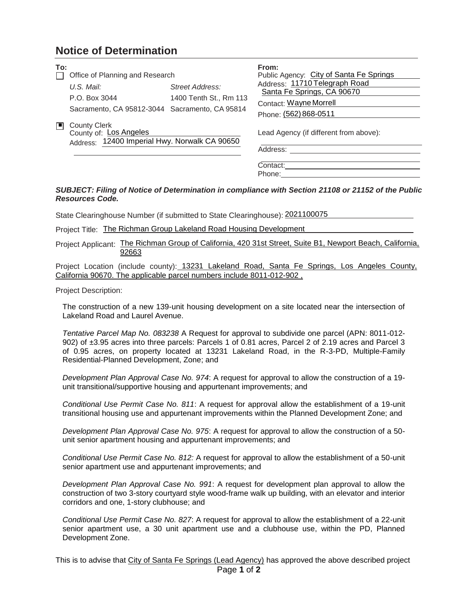## **Notice of Determination**

| To: | Office of Planning and Research                                                                |                                           | From:<br>Public Agency: City of Santa Fe Springs               |
|-----|------------------------------------------------------------------------------------------------|-------------------------------------------|----------------------------------------------------------------|
|     | $U.S.$ Mail:<br>P.O. Box 3044                                                                  | Street Address:<br>1400 Tenth St., Rm 113 | Address: 11710 Telegraph Road<br>Santa Fe Springs, CA 90670    |
|     | Sacramento, CA 95812-3044 Sacramento, CA 95814                                                 |                                           | Contact: Wayne Morrell<br>Phone: (562) 868-0511                |
|     | <b>County Clerk</b><br>County of: Los Angeles<br>Address: 12400 Imperial Hwy. Norwalk CA 90650 |                                           | Lead Agency (if different from above):<br>Address:<br>Contact: |

## *SUBJECT: Filing of Notice of Determination in compliance with Section 21108 or 21152 of the Public Resources Code.*

Phone:

State Clearinghouse Number (if submitted to State Clearinghouse): 2021100075

Project Title: The Richman Group Lakeland Road Housing Development

Project Applicant: The Richman Group of California, 420 31st Street, Suite B1, Newport Beach. California. 92663

Project Location (include county): 13231 Lakeland Road, Santa Fe Springs, Los Angeles County, California 90670. The applicable parcel numbers include 8011-012-902 ,

Project Description:

The construction of a new 139-unit housing development on a site located near the intersection of Lakeland Road and Laurel Avenue.

*Tentative Parcel Map No. 083238* A Request for approval to subdivide one parcel (APN: 8011-012- 902) of ±3.95 acres into three parcels: Parcels 1 of 0.81 acres, Parcel 2 of 2.19 acres and Parcel 3 of 0.95 acres, on property located at 13231 Lakeland Road, in the R-3-PD, Multiple-Family Residential-Planned Development, Zone; and

*Development Plan Approval Case No. 974*: A request for approval to allow the construction of a 19 unit transitional/supportive housing and appurtenant improvements; and

*Conditional Use Permit Case No. 811*: A request for approval allow the establishment of a 19-unit transitional housing use and appurtenant improvements within the Planned Development Zone; and

*Development Plan Approval Case No. 975*: A request for approval to allow the construction of a 50 unit senior apartment housing and appurtenant improvements; and

*Conditional Use Permit Case No. 812:* A request for approval to allow the establishment of a 50-unit senior apartment use and appurtenant improvements; and

*Development Plan Approval Case No. 991*: A request for development plan approval to allow the construction of two 3-story courtyard style wood-frame walk up building, with an elevator and interior corridors and one, 1-story clubhouse; and

*Conditional Use Permit Case No. 827*: A request for approval to allow the establishment of a 22-unit senior apartment use, a 30 unit apartment use and a clubhouse use, within the PD, Planned Development Zone.

Page **1** of **2** This is to advise that City of Santa Fe Springs (Lead Agency) has approved the above described project